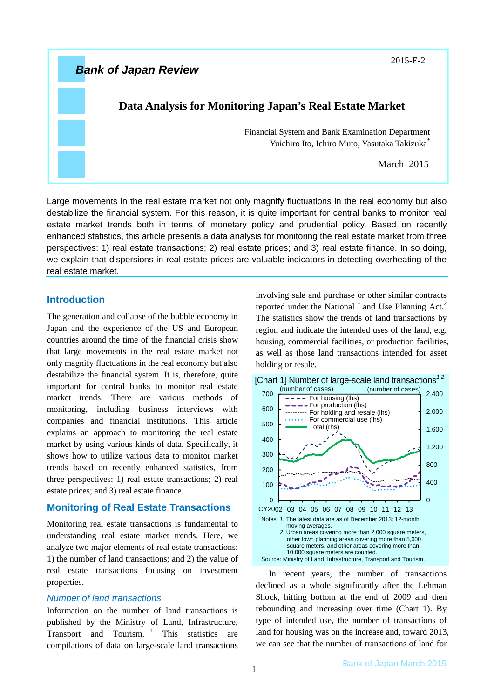

Large movements in the real estate market not only magnify fluctuations in the real economy but also destabilize the financial system. For this reason, it is quite important for central banks to monitor real estate market trends both in terms of monetary policy and prudential policy. Based on recently enhanced statistics, this article presents a data analysis for monitoring the real estate market from three perspectives: 1) real estate transactions; 2) real estate prices; and 3) real estate finance. In so doing, we explain that dispersions in real estate prices are valuable indicators in detecting overheating of the real estate market.

## **Introduction**

The generation and collapse of the bubble economy in Japan and the experience of the US and European countries around the time of the financial crisis show that large movements in the real estate market not only magnify fluctuations in the real economy but also destabilize the financial system. It is, therefore, quite important for central banks to monitor real estate market trends. There are various methods of monitoring, including business interviews with companies and financial institutions. This article explains an approach to monitoring the real estate market by using various kinds of data. Specifically, it shows how to utilize various data to monitor market trends based on recently enhanced statistics, from three perspectives: 1) real estate transactions; 2) real estate prices; and 3) real estate finance.

# **Monitoring of Real Estate Transactions**

Monitoring real estate transactions is fundamental to understanding real estate market trends. Here, we analyze two major elements of real estate transactions: 1) the number of land transactions; and 2) the value of real estate transactions focusing on investment properties.

## *Number of land transactions*

Information on the number of land transactions is published by the Ministry of Land, Infrastructure, Transport and Tourism.  $\frac{1}{1}$  This statistics are compilations of data on large-scale land transactions involving sale and purchase or other similar contracts reported under the National Land Use Planning  $Act<sup>2</sup>$ The statistics show the trends of land transactions by region and indicate the intended uses of the land, e.g. housing, commercial facilities, or production facilities, as well as those land transactions intended for asset holding or resale.



In recent years, the number of transactions declined as a whole significantly after the Lehman Shock, hitting bottom at the end of 2009 and then rebounding and increasing over time (Chart 1). By type of intended use, the number of transactions of land for housing was on the increase and, toward 2013, we can see that the number of transactions of land for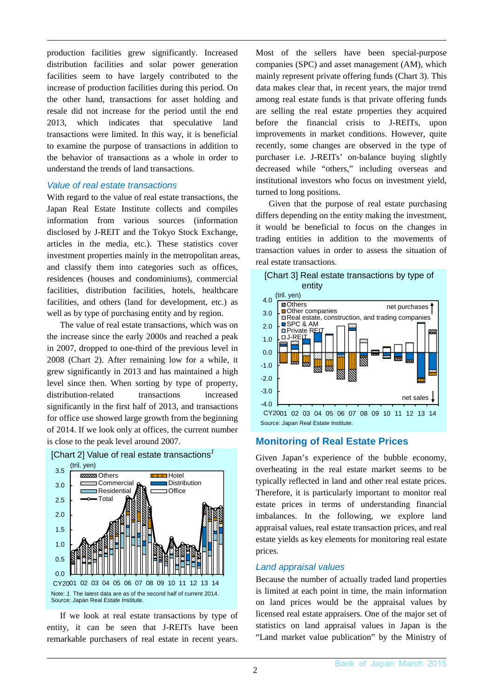production facilities grew significantly. Increased distribution facilities and solar power generation facilities seem to have largely contributed to the increase of production facilities during this period. On the other hand, transactions for asset holding and resale did not increase for the period until the end 2013, which indicates that speculative land transactions were limited. In this way, it is beneficial to examine the purpose of transactions in addition to the behavior of transactions as a whole in order to understand the trends of land transactions.

### *Value of real estate transactions*

With regard to the value of real estate transactions, the Japan Real Estate Institute collects and compiles information from various sources (information disclosed by J-REIT and the Tokyo Stock Exchange, articles in the media, etc.). These statistics cover investment properties mainly in the metropolitan areas, and classify them into categories such as offices, residences (houses and condominiums), commercial facilities, distribution facilities, hotels, healthcare facilities, and others (land for development, etc.) as well as by type of purchasing entity and by region.

The value of real estate transactions, which was on the increase since the early 2000s and reached a peak in 2007, dropped to one-third of the previous level in 2008 (Chart 2). After remaining low for a while, it grew significantly in 2013 and has maintained a high level since then. When sorting by type of property, distribution-related transactions increased significantly in the first half of 2013, and transactions for office use showed large growth from the beginning of 2014. If we look only at offices, the current number is close to the peak level around 2007.







Most of the sellers have been special-purpose companies (SPC) and asset management (AM), which mainly represent private offering funds (Chart 3). This data makes clear that, in recent years, the major trend among real estate funds is that private offering funds are selling the real estate properties they acquired before the financial crisis to J-REITs, upon improvements in market conditions. However, quite recently, some changes are observed in the type of purchaser i.e. J-REITs' on-balance buying slightly decreased while "others," including overseas and institutional investors who focus on investment yield, turned to long positions.

Given that the purpose of real estate purchasing differs depending on the entity making the investment, it would be beneficial to focus on the changes in trading entities in addition to the movements of transaction values in order to assess the situation of real estate transactions.



# **Monitoring of Real Estate Prices**

Given Japan's experience of the bubble economy, overheating in the real estate market seems to be typically reflected in land and other real estate prices. Therefore, it is particularly important to monitor real estate prices in terms of understanding financial imbalances. In the following, we explore land appraisal values, real estate transaction prices, and real estate yields as key elements for monitoring real estate prices.

## *Land appraisal values*

Because the number of actually traded land properties is limited at each point in time, the main information on land prices would be the appraisal values by licensed real estate appraisers. One of the major set of statistics on land appraisal values in Japan is the "Land market value publication" by the Ministry of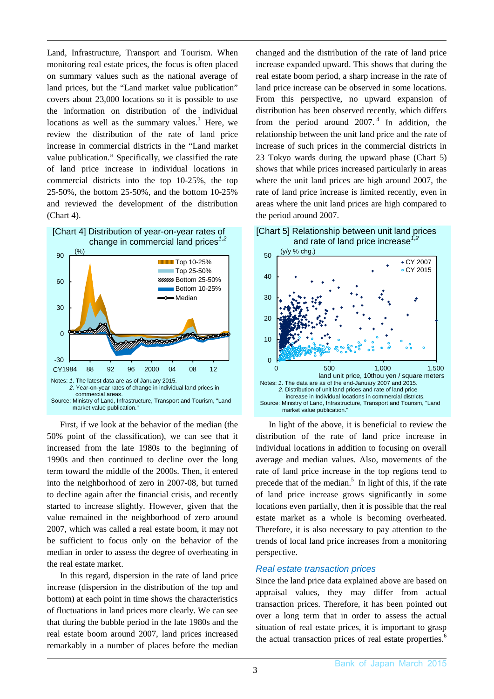Land, Infrastructure, Transport and Tourism. When monitoring real estate prices, the focus is often placed on summary values such as the national average of land prices, but the "Land market value publication" covers about 23,000 locations so it is possible to use the information on distribution of the individual locations as well as the summary values. $3$  Here, we review the distribution of the rate of land price increase in commercial districts in the "Land market value publication." Specifically, we classified the rate of land price increase in individual locations in commercial districts into the top 10-25%, the top 25-50%, the bottom 25-50%, and the bottom 10-25% and reviewed the development of the distribution (Chart 4).



First, if we look at the behavior of the median (the 50% point of the classification), we can see that it increased from the late 1980s to the beginning of 1990s and then continued to decline over the long term toward the middle of the 2000s. Then, it entered into the neighborhood of zero in 2007-08, but turned to decline again after the financial crisis, and recently started to increase slightly. However, given that the value remained in the neighborhood of zero around 2007, which was called a real estate boom, it may not be sufficient to focus only on the behavior of the median in order to assess the degree of overheating in the real estate market.

In this regard, dispersion in the rate of land price increase (dispersion in the distribution of the top and bottom) at each point in time shows the characteristics of fluctuations in land prices more clearly. We can see that during the bubble period in the late 1980s and the real estate boom around 2007, land prices increased remarkably in a number of places before the median changed and the distribution of the rate of land price increase expanded upward. This shows that during the real estate boom period, a sharp increase in the rate of land price increase can be observed in some locations. From this perspective, no upward expansion of distribution has been observed recently, which differs from the period around  $2007<sup>4</sup>$  In addition, the relationship between the unit land price and the rate of increase of such prices in the commercial districts in 23 Tokyo wards during the upward phase (Chart 5) shows that while prices increased particularly in areas where the unit land prices are high around 2007, the rate of land price increase is limited recently, even in areas where the unit land prices are high compared to the period around 2007.





In light of the above, it is beneficial to review the distribution of the rate of land price increase in individual locations in addition to focusing on overall average and median values. Also, movements of the rate of land price increase in the top regions tend to precede that of the median.<sup>5</sup> In light of this, if the rate of land price increase grows significantly in some locations even partially, then it is possible that the real estate market as a whole is becoming overheated. Therefore, it is also necessary to pay attention to the trends of local land price increases from a monitoring perspective.

## *Real estate transaction prices*

Since the land price data explained above are based on appraisal values, they may differ from actual transaction prices. Therefore, it has been pointed out over a long term that in order to assess the actual situation of real estate prices, it is important to grasp the actual transaction prices of real estate properties.<sup>6</sup>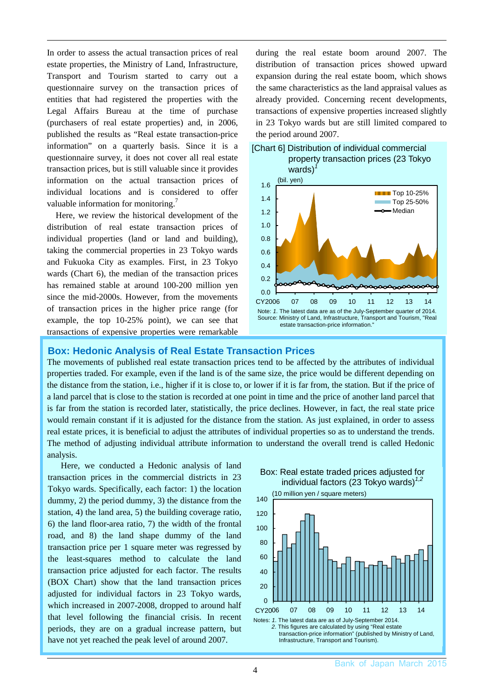In order to assess the actual transaction prices of real estate properties, the Ministry of Land, Infrastructure, Transport and Tourism started to carry out a questionnaire survey on the transaction prices of entities that had registered the properties with the Legal Affairs Bureau at the time of purchase (purchasers of real estate properties) and, in 2006, published the results as "Real estate transaction-price information" on a quarterly basis. Since it is a questionnaire survey, it does not cover all real estate transaction prices, but is still valuable since it provides information on the actual transaction prices of individual locations and is considered to offer valuable information for monitoring.<sup>7</sup>

Here, we review the historical development of the distribution of real estate transaction prices of individual properties (land or land and building), taking the commercial properties in 23 Tokyo wards and Fukuoka City as examples. First, in 23 Tokyo wards (Chart 6), the median of the transaction prices has remained stable at around 100-200 million yen since the mid-2000s. However, from the movements of transaction prices in the higher price range (for example, the top 10-25% point), we can see that transactions of expensive properties were remarkable

during the real estate boom around 2007. The distribution of transaction prices showed upward expansion during the real estate boom, which shows the same characteristics as the land appraisal values as already provided. Concerning recent developments, transactions of expensive properties increased slightly in 23 Tokyo wards but are still limited compared to the period around 2007.





#### **Box: Hedonic Analysis of Real Estate Transaction Prices**

The movements of published real estate transaction prices tend to be affected by the attributes of individual properties traded. For example, even if the land is of the same size, the price would be different depending on the distance from the station, i.e., higher if it is close to, or lower if it is far from, the station. But if the price of a land parcel that is close to the station is recorded at one point in time and the price of another land parcel that is far from the station is recorded later, statistically, the price declines. However, in fact, the real state price would remain constant if it is adjusted for the distance from the station. As just explained, in order to assess real estate prices, it is beneficial to adjust the attributes of individual properties so as to understand the trends. The method of adjusting individual attribute information to understand the overall trend is called Hedonic analysis.

Here, we conducted a Hedonic analysis of land transaction prices in the commercial districts in 23 Tokyo wards. Specifically, each factor: 1) the location dummy, 2) the period dummy, 3) the distance from the station, 4) the land area, 5) the building coverage ratio, 6) the land floor-area ratio, 7) the width of the frontal road, and 8) the land shape dummy of the land transaction price per 1 square meter was regressed by the least-squares method to calculate the land transaction price adjusted for each factor. The results (BOX Chart) show that the land transaction prices adjusted for individual factors in 23 Tokyo wards, which increased in 2007-2008, dropped to around half that level following the financial crisis. In recent periods, they are on a gradual increase pattern, but have not yet reached the peak level of around 2007.

Box: Real estate traded prices adjusted for individual factors (23 Tokyo wards)*1,2*

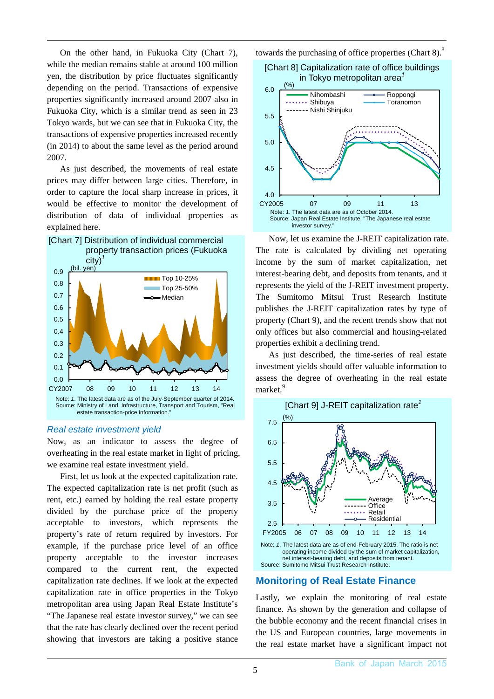On the other hand, in Fukuoka City (Chart 7), while the median remains stable at around 100 million yen, the distribution by price fluctuates significantly depending on the period. Transactions of expensive properties significantly increased around 2007 also in Fukuoka City, which is a similar trend as seen in 23 Tokyo wards, but we can see that in Fukuoka City, the transactions of expensive properties increased recently (in 2014) to about the same level as the period around 2007.

As just described, the movements of real estate prices may differ between large cities. Therefore, in order to capture the local sharp increase in prices, it would be effective to monitor the development of distribution of data of individual properties as explained here.



#### *Real estate investment yield*

Now, as an indicator to assess the degree of overheating in the real estate market in light of pricing, we examine real estate investment yield.

First, let us look at the expected capitalization rate. The expected capitalization rate is net profit (such as rent, etc.) earned by holding the real estate property divided by the purchase price of the property acceptable to investors, which represents the property's rate of return required by investors. For example, if the purchase price level of an office property acceptable to the investor increases compared to the current rent, the expected capitalization rate declines. If we look at the expected capitalization rate in office properties in the Tokyo metropolitan area using Japan Real Estate Institute's "The Japanese real estate investor survey," we can see that the rate has clearly declined over the recent period showing that investors are taking a positive stance towards the purchasing of office properties (Chart  $8$ ).<sup>8</sup>



Now, let us examine the J-REIT capitalization rate. The rate is calculated by dividing net operating income by the sum of market capitalization, net interest-bearing debt, and deposits from tenants, and it represents the yield of the J-REIT investment property. The Sumitomo Mitsui Trust Research Institute publishes the J-REIT capitalization rates by type of property (Chart 9), and the recent trends show that not only offices but also commercial and housing-related properties exhibit a declining trend.

As just described, the time-series of real estate investment yields should offer valuable information to assess the degree of overheating in the real estate market<sup>9</sup>



#### **Monitoring of Real Estate Finance**

Lastly, we explain the monitoring of real estate finance. As shown by the generation and collapse of the bubble economy and the recent financial crises in the US and European countries, large movements in the real estate market have a significant impact not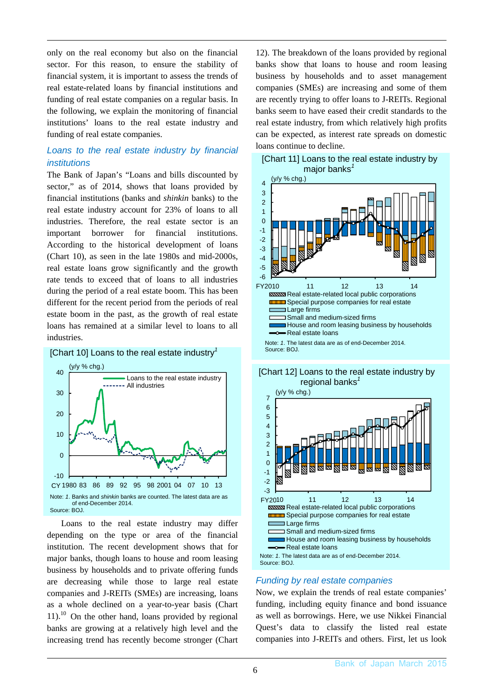only on the real economy but also on the financial sector. For this reason, to ensure the stability of financial system, it is important to assess the trends of real estate-related loans by financial institutions and funding of real estate companies on a regular basis. In the following, we explain the monitoring of financial institutions' loans to the real estate industry and funding of real estate companies.

# *Loans to the real estate industry by financial institutions*

The Bank of Japan's "Loans and bills discounted by sector," as of 2014, shows that loans provided by financial institutions (banks and *shinkin* banks) to the real estate industry account for 23% of loans to all industries. Therefore, the real estate sector is an important borrower for financial institutions. According to the historical development of loans (Chart 10), as seen in the late 1980s and mid-2000s, real estate loans grow significantly and the growth rate tends to exceed that of loans to all industries during the period of a real estate boom. This has been different for the recent period from the periods of real estate boom in the past, as the growth of real estate loans has remained at a similar level to loans to all industries.



Loans to the real estate industry may differ depending on the type or area of the financial institution. The recent development shows that for major banks, though loans to house and room leasing business by households and to private offering funds are decreasing while those to large real estate companies and J-REITs (SMEs) are increasing, loans as a whole declined on a year-to-year basis (Chart  $11$ ).<sup>10</sup> On the other hand, loans provided by regional banks are growing at a relatively high level and the increasing trend has recently become stronger (Chart

12). The breakdown of the loans provided by regional banks show that loans to house and room leasing business by households and to asset management companies (SMEs) are increasing and some of them are recently trying to offer loans to J-REITs. Regional banks seem to have eased their credit standards to the real estate industry, from which relatively high profits can be expected, as interest rate spreads on domestic loans continue to decline.









# *Funding by real estate companies*

Now, we explain the trends of real estate companies' funding, including equity finance and bond issuance as well as borrowings. Here, we use Nikkei Financial Quest's data to classify the listed real estate companies into J-REITs and others. First, let us look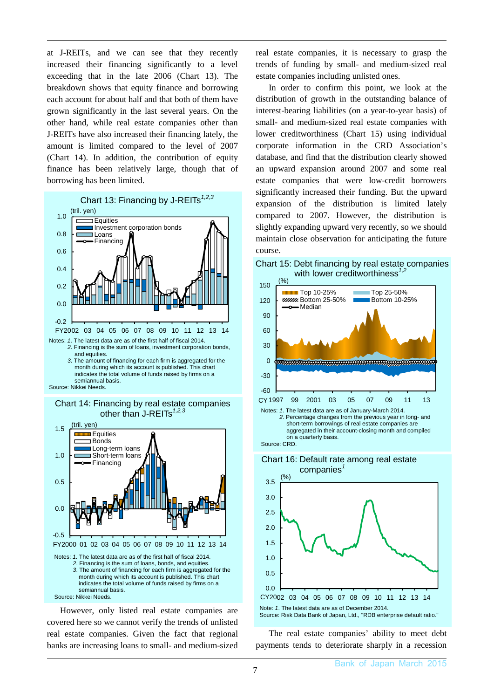at J-REITs, and we can see that they recently increased their financing significantly to a level exceeding that in the late 2006 (Chart 13). The breakdown shows that equity finance and borrowing each account for about half and that both of them have grown significantly in the last several years. On the other hand, while real estate companies other than J-REITs have also increased their financing lately, the amount is limited compared to the level of 2007 (Chart 14). In addition, the contribution of equity finance has been relatively large, though that of borrowing has been limited.



*2*. Financing is the sum of loans, investment corporation bonds, and equities.

*3*. The amount of financing for each firm is aggregated for the month during which its account is published. This chart indicates the total volume of funds raised by firms on a semiannual basis.







However, only listed real estate companies are covered here so we cannot verify the trends of unlisted real estate companies. Given the fact that regional banks are increasing loans to small- and medium-sized real estate companies, it is necessary to grasp the trends of funding by small- and medium-sized real estate companies including unlisted ones.

In order to confirm this point, we look at the distribution of growth in the outstanding balance of interest-bearing liabilities (on a year-to-year basis) of small- and medium-sized real estate companies with lower creditworthiness (Chart 15) using individual corporate information in the CRD Association's database, and find that the distribution clearly showed an upward expansion around 2007 and some real estate companies that were low-credit borrowers significantly increased their funding. But the upward expansion of the distribution is limited lately compared to 2007. However, the distribution is slightly expanding upward very recently, so we should maintain close observation for anticipating the future course.





aggregated in their account-closing month and compiled on a quarterly basis. Source: CRD.



The real estate companies' ability to meet debt payments tends to deteriorate sharply in a recession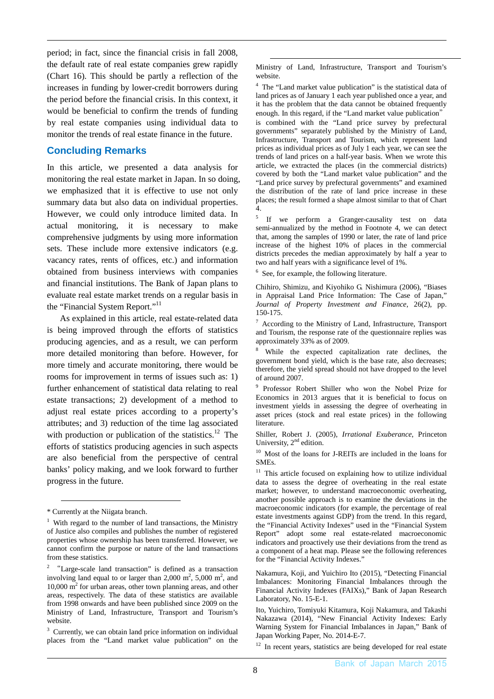period; in fact, since the financial crisis in fall 2008, the default rate of real estate companies grew rapidly (Chart 16). This should be partly a reflection of the increases in funding by lower-credit borrowers during the period before the financial crisis. In this context, it would be beneficial to confirm the trends of funding by real estate companies using individual data to monitor the trends of real estate finance in the future.

## **Concluding Remarks**

In this article, we presented a data analysis for monitoring the real estate market in Japan. In so doing, we emphasized that it is effective to use not only summary data but also data on individual properties. However, we could only introduce limited data. In actual monitoring, it is necessary to make comprehensive judgments by using more information sets. These include more extensive indicators (e.g. vacancy rates, rents of offices, etc.) and information obtained from business interviews with companies and financial institutions. The Bank of Japan plans to evaluate real estate market trends on a regular basis in the "Financial System Report."<sup>11</sup>

As explained in this article, real estate-related data is being improved through the efforts of statistics producing agencies, and as a result, we can perform more detailed monitoring than before. However, for more timely and accurate monitoring, there would be rooms for improvement in terms of issues such as: 1) further enhancement of statistical data relating to real estate transactions; 2) development of a method to adjust real estate prices according to a property's attributes; and 3) reduction of the time lag associated with production or publication of the statistics.<sup>12</sup> The efforts of statistics producing agencies in such aspects are also beneficial from the perspective of central banks' policy making, and we look forward to further progress in the future.

 $\overline{a}$ 

Ministry of Land, Infrastructure, Transport and Tourism's website.

<u>.</u>

<sup>4</sup> The "Land market value publication" is the statistical data of land prices as of January 1 each year published once a year, and it has the problem that the data cannot be obtained frequently enough. In this regard, if the "Land market value publication"

is combined with the "Land price survey by prefectural governments" separately published by the Ministry of Land, Infrastructure, Transport and Tourism, which represent land prices as individual prices as of July 1 each year, we can see the trends of land prices on a half-year basis. When we wrote this article, we extracted the places (in the commercial districts) covered by both the "Land market value publication" and the "Land price survey by prefectural governments" and examined the distribution of the rate of land price increase in these places; the result formed a shape almost similar to that of Chart 4.

<sup>5</sup> If we perform a Granger-causality test on data semi-annualized by the method in Footnote 4, we can detect that, among the samples of 1990 or later, the rate of land price increase of the highest 10% of places in the commercial districts precedes the median approximately by half a year to two and half years with a significance level of 1%.

<sup>6</sup> See, for example, the following literature.

Chihiro, Shimizu, and Kiyohiko G. Nishimura (2006), "Biases in Appraisal Land Price Information: The Case of Japan," *Journal of Property Investment and Finance*, 26(2), pp. 150-175.

 $7$  According to the Ministry of Land, Infrastructure, Transport and Tourism, the response rate of the questionnaire replies was approximately 33% as of 2009.

While the expected capitalization rate declines, the government bond yield, which is the base rate, also decreases; therefore, the yield spread should not have dropped to the level of around 2007.

9 Professor Robert Shiller who won the Nobel Prize for Economics in 2013 argues that it is beneficial to focus on investment yields in assessing the degree of overheating in asset prices (stock and real estate prices) in the following literature.

Shiller, Robert J. (2005), *Irrational Exuberance*, Princeton University,  $2<sup>nd</sup>$  edition.

10 Most of the loans for J-REITs are included in the loans for SMEs.

 $11$  This article focused on explaining how to utilize individual data to assess the degree of overheating in the real estate market; however, to understand macroeconomic overheating, another possible approach is to examine the deviations in the macroeconomic indicators (for example, the percentage of real estate investments against GDP) from the trend. In this regard, the "Financial Activity Indexes" used in the "Financial System Report" adopt some real estate-related macroeconomic indicators and proactively use their deviations from the trend as a component of a heat map. Please see the following references for the "Financial Activity Indexes."

Nakamura, Koji, and Yuichiro Ito (2015), "Detecting Financial Imbalances: Monitoring Financial Imbalances through the Financial Activity Indexes (FAIXs)," Bank of Japan Research Laboratory, No. 15-E-1.

<sup>12</sup> In recent years, statistics are being developed for real estate

<sup>\*</sup> Currently at the Niigata branch.

<sup>&</sup>lt;sup>1</sup> With regard to the number of land transactions, the Ministry of Justice also compiles and publishes the number of registered properties whose ownership has been transferred. However, we cannot confirm the purpose or nature of the land transactions from these statistics.

<sup>2</sup> "Large-scale land transaction" is defined as a transaction involving land equal to or larger than  $2,000 \text{ m}^2$ ,  $5,000 \text{ m}^2$ , and 10,000 m<sup>2</sup> for urban areas, other town planning areas, and other areas, respectively. The data of these statistics are available from 1998 onwards and have been published since 2009 on the Ministry of Land, Infrastructure, Transport and Tourism's website.

<sup>&</sup>lt;sup>3</sup> Currently, we can obtain land price information on individual places from the "Land market value publication" on the

Ito, Yuichiro, Tomiyuki Kitamura, Koji Nakamura, and Takashi Nakazawa (2014), "New Financial Activity Indexes: Early Warning System for Financial Imbalances in Japan," Bank of Japan Working Paper, No. 2014-E-7.